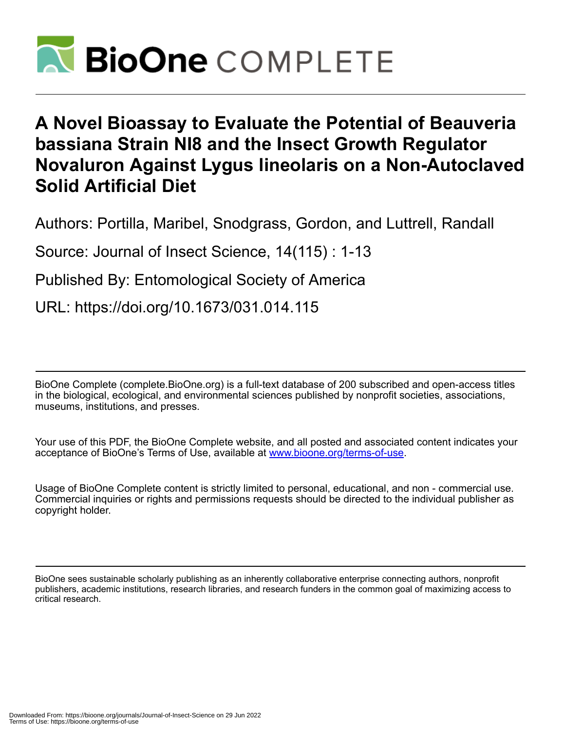

# **A Novel Bioassay to Evaluate the Potential of Beauveria bassiana Strain NI8 and the Insect Growth Regulator Novaluron Against Lygus lineolaris on a Non-Autoclaved Solid Artificial Diet**

Authors: Portilla, Maribel, Snodgrass, Gordon, and Luttrell, Randall

Source: Journal of Insect Science, 14(115) : 1-13

Published By: Entomological Society of America

URL: https://doi.org/10.1673/031.014.115

BioOne Complete (complete.BioOne.org) is a full-text database of 200 subscribed and open-access titles in the biological, ecological, and environmental sciences published by nonprofit societies, associations, museums, institutions, and presses.

Your use of this PDF, the BioOne Complete website, and all posted and associated content indicates your acceptance of BioOne's Terms of Use, available at www.bioone.org/terms-of-use.

Usage of BioOne Complete content is strictly limited to personal, educational, and non - commercial use. Commercial inquiries or rights and permissions requests should be directed to the individual publisher as copyright holder.

BioOne sees sustainable scholarly publishing as an inherently collaborative enterprise connecting authors, nonprofit publishers, academic institutions, research libraries, and research funders in the common goal of maximizing access to critical research.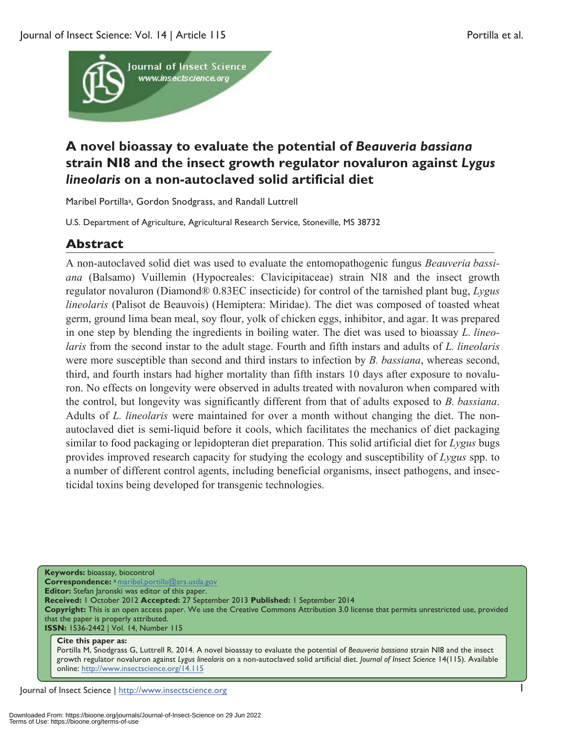

## **A novel bioassay to evaluate the potential of** *Beauveria bassiana* **strain NI8 and the insect growth regulator novaluron against** *Lygus lineolaris* **on a non-autoclaved solid artificial diet**

Maribel Portillaa, Gordon Snodgrass, and Randall Luttrell

U.S. Department of Agriculture, Agricultural Research Service, Stoneville, MS 38732

## **Abstract**

A non-autoclaved solid diet was used to evaluate the entomopathogenic fungus *Beauveria bassiana* (Balsamo) Vuillemin (Hypocreales: Clavicipitaceae) strain NI8 and the insect growth regulator novaluron (Diamond® 0.83EC insecticide) for control of the tarnished plant bug, *Lygus lineolaris* (Palisot de Beauvois) (Hemiptera: Miridae). The diet was composed of toasted wheat germ, ground lima bean meal, soy flour, yolk of chicken eggs, inhibitor, and agar. It was prepared in one step by blending the ingredients in boiling water. The diet was used to bioassay *L. lineolaris* from the second instar to the adult stage. Fourth and fifth instars and adults of *L. lineolaris* were more susceptible than second and third instars to infection by *B. bassiana*, whereas second, third, and fourth instars had higher mortality than fifth instars 10 days after exposure to novaluron. No effects on longevity were observed in adults treated with novaluron when compared with the control, but longevity was significantly different from that of adults exposed to *B. bassiana*. Adults of *L. lineolaris* were maintained for over a month without changing the diet. The nonautoclaved diet is semi-liquid before it cools, which facilitates the mechanics of diet packaging similar to food packaging or lepidopteran diet preparation. This solid artificial diet for *Lygus* bugs provides improved research capacity for studying the ecology and susceptibility of *Lygus* spp. to a number of different control agents, including beneficial organisms, insect pathogens, and insecticidal toxins being developed for transgenic technologies.

**Keywords:** bioassay, biocontrol **Correspondence:** a maribel.portilla@ars.usda.gov **Editor:** Stefan Jaronski was editor of this paper. **Received:** 1 October 2012 **Accepted:** 27 September 2013 **Published:** 1 September 2014 **Copyright:** This is an open access paper. We use the Creative Commons Attribution 3.0 license that permits unrestricted use, provided that the paper is properly attributed. **ISSN:** 1536-2442 | Vol. 14, Number 115

#### **Cite this paper as:**

Portilla M, Snodgrass G, Luttrell R. 2014. A novel bioassay to evaluate the potential of *Beauveria bassiana* strain NI8 and the insect growth regulator novaluron against *Lygus lineolaris* on a non-autoclaved solid artificial diet. *Journal of Insect Science* 14(115). Available online: http://www.insectscience.org/14.115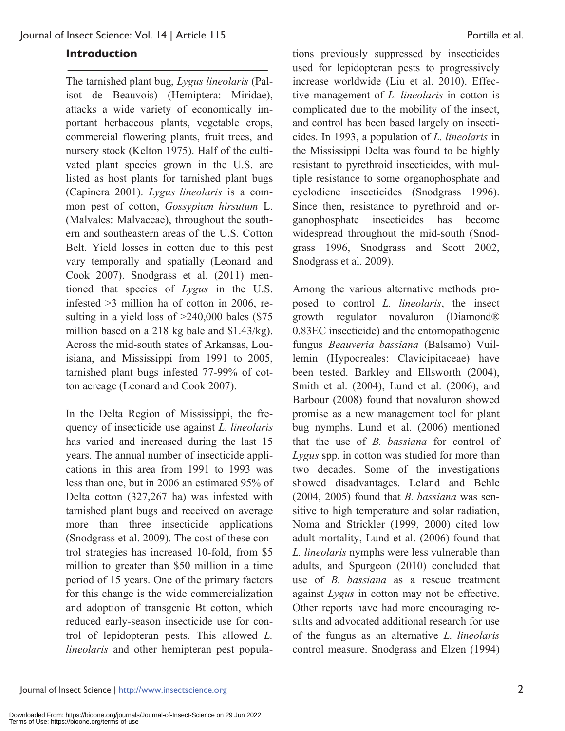#### **Introduction**

The tarnished plant bug, *Lygus lineolaris* (Palisot de Beauvois) (Hemiptera: Miridae), attacks a wide variety of economically important herbaceous plants, vegetable crops, commercial flowering plants, fruit trees, and nursery stock (Kelton 1975). Half of the cultivated plant species grown in the U.S. are listed as host plants for tarnished plant bugs (Capinera 2001). *Lygus lineolaris* is a common pest of cotton, *Gossypium hirsutum* L. (Malvales: Malvaceae), throughout the southern and southeastern areas of the U.S. Cotton Belt. Yield losses in cotton due to this pest vary temporally and spatially (Leonard and Cook 2007). Snodgrass et al. (2011) mentioned that species of *Lygus* in the U.S. infested >3 million ha of cotton in 2006, resulting in a yield loss of  $>240,000$  bales (\$75) million based on a 218 kg bale and \$1.43/kg). Across the mid-south states of Arkansas, Louisiana, and Mississippi from 1991 to 2005, tarnished plant bugs infested 77-99% of cotton acreage (Leonard and Cook 2007).

In the Delta Region of Mississippi, the frequency of insecticide use against *L. lineolaris* has varied and increased during the last 15 years. The annual number of insecticide applications in this area from 1991 to 1993 was less than one, but in 2006 an estimated 95% of Delta cotton (327,267 ha) was infested with tarnished plant bugs and received on average more than three insecticide applications (Snodgrass et al. 2009). The cost of these control strategies has increased 10-fold, from \$5 million to greater than \$50 million in a time period of 15 years. One of the primary factors for this change is the wide commercialization and adoption of transgenic Bt cotton, which reduced early-season insecticide use for control of lepidopteran pests. This allowed *L. lineolaris* and other hemipteran pest popula-

tions previously suppressed by insecticides used for lepidopteran pests to progressively increase worldwide (Liu et al. 2010). Effective management of *L. lineolaris* in cotton is complicated due to the mobility of the insect, and control has been based largely on insecticides. In 1993, a population of *L. lineolaris* in the Mississippi Delta was found to be highly resistant to pyrethroid insecticides, with multiple resistance to some organophosphate and cyclodiene insecticides (Snodgrass 1996). Since then, resistance to pyrethroid and organophosphate insecticides has become widespread throughout the mid-south (Snodgrass 1996, Snodgrass and Scott 2002, Snodgrass et al. 2009).

Among the various alternative methods proposed to control *L. lineolaris*, the insect growth regulator novaluron (Diamond® 0.83EC insecticide) and the entomopathogenic fungus *Beauveria bassiana* (Balsamo) Vuillemin (Hypocreales: Clavicipitaceae) have been tested. Barkley and Ellsworth (2004), Smith et al. (2004), Lund et al. (2006), and Barbour (2008) found that novaluron showed promise as a new management tool for plant bug nymphs. Lund et al. (2006) mentioned that the use of *B. bassiana* for control of *Lygus* spp. in cotton was studied for more than two decades. Some of the investigations showed disadvantages. Leland and Behle (2004, 2005) found that *B. bassiana* was sensitive to high temperature and solar radiation, Noma and Strickler (1999, 2000) cited low adult mortality, Lund et al. (2006) found that *L. lineolaris* nymphs were less vulnerable than adults, and Spurgeon (2010) concluded that use of *B. bassiana* as a rescue treatment against *Lygus* in cotton may not be effective. Other reports have had more encouraging results and advocated additional research for use of the fungus as an alternative *L. lineolaris* control measure. Snodgrass and Elzen (1994)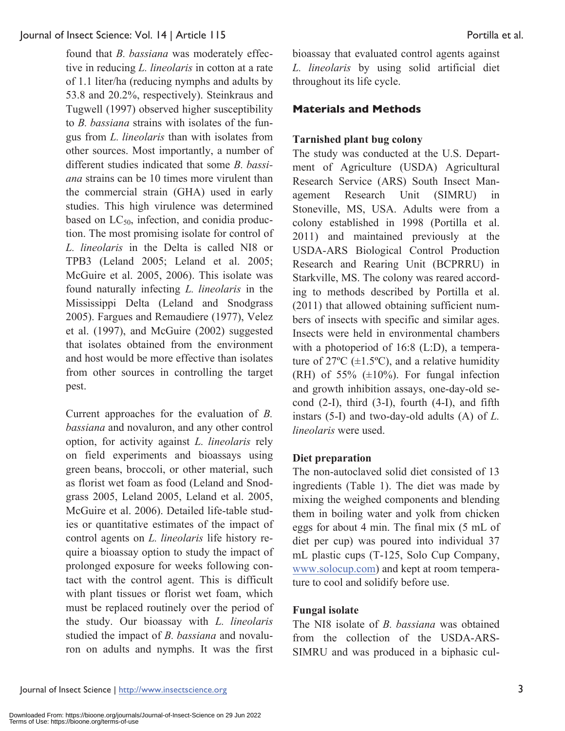found that *B. bassiana* was moderately effective in reducing *L. lineolaris* in cotton at a rate of 1.1 liter/ha (reducing nymphs and adults by 53.8 and 20.2%, respectively). Steinkraus and Tugwell (1997) observed higher susceptibility to *B. bassiana* strains with isolates of the fungus from *L. lineolaris* than with isolates from other sources. Most importantly, a number of different studies indicated that some *B. bassiana* strains can be 10 times more virulent than the commercial strain (GHA) used in early studies. This high virulence was determined based on  $LC_{50}$ , infection, and conidia production. The most promising isolate for control of *L. lineolaris* in the Delta is called NI8 or TPB3 (Leland 2005; Leland et al. 2005; McGuire et al. 2005, 2006). This isolate was found naturally infecting *L. lineolaris* in the Mississippi Delta (Leland and Snodgrass 2005). Fargues and Remaudiere (1977), Velez et al. (1997), and McGuire (2002) suggested that isolates obtained from the environment and host would be more effective than isolates from other sources in controlling the target pest.

Current approaches for the evaluation of *B. bassiana* and novaluron, and any other control option, for activity against *L. lineolaris* rely on field experiments and bioassays using green beans, broccoli, or other material, such as florist wet foam as food (Leland and Snodgrass 2005, Leland 2005, Leland et al. 2005, McGuire et al. 2006). Detailed life-table studies or quantitative estimates of the impact of control agents on *L. lineolaris* life history require a bioassay option to study the impact of prolonged exposure for weeks following contact with the control agent. This is difficult with plant tissues or florist wet foam, which must be replaced routinely over the period of the study. Our bioassay with *L. lineolaris* studied the impact of *B. bassiana* and novaluron on adults and nymphs. It was the first

bioassay that evaluated control agents against *L. lineolaris* by using solid artificial diet throughout its life cycle.

## **Materials and Methods**

#### **Tarnished plant bug colony**

The study was conducted at the U.S. Department of Agriculture (USDA) Agricultural Research Service (ARS) South Insect Management Research Unit (SIMRU) in Stoneville, MS, USA. Adults were from a colony established in 1998 (Portilla et al. 2011) and maintained previously at the USDA-ARS Biological Control Production Research and Rearing Unit (BCPRRU) in Starkville, MS. The colony was reared according to methods described by Portilla et al. (2011) that allowed obtaining sufficient numbers of insects with specific and similar ages. Insects were held in environmental chambers with a photoperiod of 16:8 (L:D), a temperature of  $27^{\circ}C$  ( $\pm 1.5^{\circ}C$ ), and a relative humidity (RH) of  $55\%$  ( $\pm 10\%$ ). For fungal infection and growth inhibition assays, one-day-old second  $(2-I)$ , third  $(3-I)$ , fourth  $(4-I)$ , and fifth instars (5-I) and two-day-old adults (A) of *L. lineolaris* were used.

#### **Diet preparation**

The non-autoclaved solid diet consisted of 13 ingredients (Table 1). The diet was made by mixing the weighed components and blending them in boiling water and yolk from chicken eggs for about 4 min. The final mix (5 mL of diet per cup) was poured into individual 37 mL plastic cups (T-125, Solo Cup Company, www.solocup.com) and kept at room temperature to cool and solidify before use.

#### **Fungal isolate**

The NI8 isolate of *B. bassiana* was obtained from the collection of the USDA-ARS-SIMRU and was produced in a biphasic cul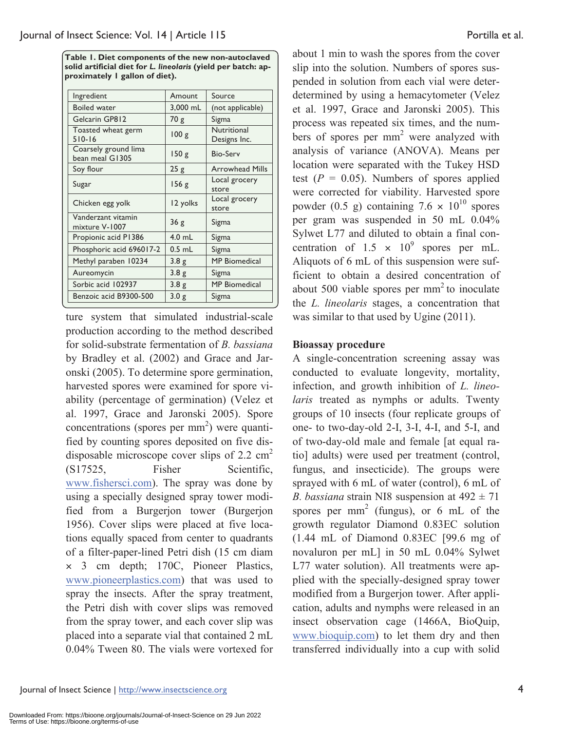**Table 1. Diet components of the new non-autoclaved solid artificial diet for** *L. lineolaris* **(yield per batch: approximately 1 gallon of diet).** 

| Ingredient                              | Amount           | Source                      |
|-----------------------------------------|------------------|-----------------------------|
| <b>Boiled water</b>                     | 3,000 mL         | (not applicable)            |
| Gelcarin GP812                          | 70 g             | Sigma                       |
| Toasted wheat germ<br>$510-16$          | 100 g            | Nutritional<br>Designs Inc. |
| Coarsely ground lima<br>bean meal G1305 | 150g             | <b>Bio-Serv</b>             |
| Soy flour                               | 25g              | <b>Arrowhead Mills</b>      |
| Sugar                                   | 156 g            | Local grocery<br>store      |
| Chicken egg yolk                        | 12 yolks         | Local grocery<br>store      |
| Vanderzant vitamin<br>mixture V-1007    | 36g              | Sigma                       |
| Propionic acid P1386                    | 4.0 mL           | Sigma                       |
| Phosphoric acid 696017-2                | $0.5$ mL         | Sigma                       |
| Methyl paraben 10234                    | 3.8 <sub>g</sub> | <b>MP</b> Biomedical        |
| Aureomycin                              | 3.8 <sub>g</sub> | Sigma                       |
| Sorbic acid 102937                      | 3.8 <sub>g</sub> | <b>MP</b> Biomedical        |
| Benzoic acid B9300-500                  | 3.0 <sub>g</sub> | Sigma                       |

ture system that simulated industrial-scale production according to the method described for solid-substrate fermentation of *B. bassiana* by Bradley et al. (2002) and Grace and Jaronski (2005). To determine spore germination, harvested spores were examined for spore viability (percentage of germination) (Velez et al. 1997, Grace and Jaronski 2005). Spore concentrations (spores per mm<sup>2</sup>) were quantified by counting spores deposited on five disdisposable microscope cover slips of 2.2  $\text{cm}^2$ (S17525, Fisher Scientific, www.fishersci.com). The spray was done by using a specially designed spray tower modified from a Burgerjon tower (Burgerjon 1956). Cover slips were placed at five locations equally spaced from center to quadrants of a filter-paper-lined Petri dish (15 cm diam × 3 cm depth; 170C, Pioneer Plastics, www.pioneerplastics.com) that was used to spray the insects. After the spray treatment, the Petri dish with cover slips was removed from the spray tower, and each cover slip was placed into a separate vial that contained 2 mL 0.04% Tween 80. The vials were vortexed for

about 1 min to wash the spores from the cover slip into the solution. Numbers of spores suspended in solution from each vial were deterdetermined by using a hemacytometer (Velez et al. 1997, Grace and Jaronski 2005). This process was repeated six times, and the numbers of spores per  $mm<sup>2</sup>$  were analyzed with analysis of variance (ANOVA). Means per location were separated with the Tukey HSD test  $(P = 0.05)$ . Numbers of spores applied were corrected for viability. Harvested spore powder (0.5 g) containing  $7.6 \times 10^{10}$  spores per gram was suspended in 50 mL 0.04% Sylwet L77 and diluted to obtain a final concentration of  $1.5 \times 10^9$  spores per mL. Aliquots of 6 mL of this suspension were sufficient to obtain a desired concentration of about 500 viable spores per  $mm<sup>2</sup>$  to inoculate the *L. lineolaris* stages, a concentration that was similar to that used by Ugine (2011).

#### **Bioassay procedure**

A single-concentration screening assay was conducted to evaluate longevity, mortality, infection, and growth inhibition of *L. lineolaris* treated as nymphs or adults. Twenty groups of 10 insects (four replicate groups of one- to two-day-old 2-I, 3-I, 4-I, and 5-I, and of two-day-old male and female [at equal ratio] adults) were used per treatment (control, fungus, and insecticide). The groups were sprayed with 6 mL of water (control), 6 mL of *B. bassiana* strain NI8 suspension at  $492 \pm 71$ spores per mm<sup>2</sup> (fungus), or 6 mL of the growth regulator Diamond 0.83EC solution (1.44 mL of Diamond 0.83EC [99.6 mg of novaluron per mL] in 50 mL 0.04% Sylwet L77 water solution). All treatments were applied with the specially-designed spray tower modified from a Burgerjon tower. After application, adults and nymphs were released in an insect observation cage (1466A, BioQuip, www.bioquip.com) to let them dry and then transferred individually into a cup with solid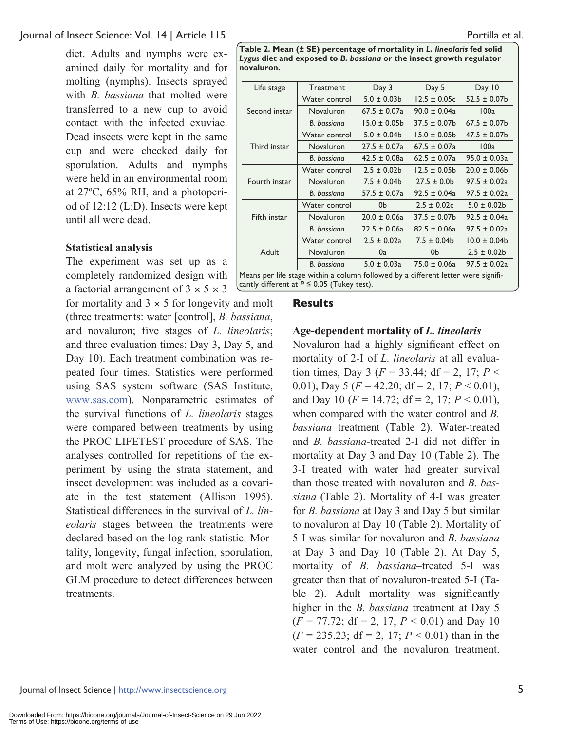diet. Adults and nymphs were examined daily for mortality and for molting (nymphs). Insects sprayed with *B. bassiana* that molted were transferred to a new cup to avoid contact with the infected exuviae. Dead insects were kept in the same cup and were checked daily for sporulation. Adults and nymphs were held in an environmental room at 27ºC, 65% RH, and a photoperiod of 12:12 (L:D). Insects were kept until all were dead.

#### **Statistical analysis**

The experiment was set up as a completely randomized design with a factorial arrangement of  $3 \times 5 \times 3$ 

for mortality and  $3 \times 5$  for longevity and molt (three treatments: water [control], *B. bassiana*, and novaluron; five stages of *L. lineolaris*; and three evaluation times: Day 3, Day 5, and Day 10). Each treatment combination was repeated four times. Statistics were performed using SAS system software (SAS Institute, www.sas.com). Nonparametric estimates of the survival functions of *L. lineolaris* stages were compared between treatments by using the PROC LIFETEST procedure of SAS. The analyses controlled for repetitions of the experiment by using the strata statement, and insect development was included as a covariate in the test statement (Allison 1995). Statistical differences in the survival of *L. lineolaris* stages between the treatments were declared based on the log-rank statistic. Mortality, longevity, fungal infection, sporulation, and molt were analyzed by using the PROC GLM procedure to detect differences between treatments.

**Table 2. Mean (± SE) percentage of mortality in** *L. lineolaris* **fed solid**  *Lygus* **diet and exposed to** *B. bassiana* **or the insect growth regulator novaluron.** 

| Life stage    | Treatment                                                                         | Day 3             | Day 5             | Day 10            |
|---------------|-----------------------------------------------------------------------------------|-------------------|-------------------|-------------------|
| Second instar | Water control                                                                     | $5.0 \pm 0.03$ b  | $12.5 \pm 0.05c$  | $52.5 \pm 0.07$ b |
|               | Novaluron                                                                         | $67.5 \pm 0.07a$  | $90.0 \pm 0.04a$  | 100a              |
|               | B. bassiana                                                                       | $15.0 \pm 0.05$ b | $37.5 \pm 0.07$ b | $67.5 \pm 0.07$ b |
| Third instar  | Water control                                                                     | $5.0 \pm 0.04$ b  | $15.0 \pm 0.05$   | $47.5 \pm 0.07$ b |
|               | Novaluron                                                                         | $27.5 \pm 0.07a$  | $67.5 \pm 0.07a$  | 100a              |
|               | B. bassiana                                                                       | $42.5 \pm 0.08a$  | $62.5 \pm 0.07a$  | $95.0 \pm 0.03a$  |
| Fourth instar | Water control                                                                     | $2.5 \pm 0.02b$   | $12.5 \pm 0.05b$  | $20.0 \pm 0.06$   |
|               | Novaluron                                                                         | $7.5 \pm 0.04$ b  | $27.5 \pm 0.0$    | $97.5 \pm 0.02a$  |
|               | B. bassiana                                                                       | $57.5 \pm 0.07a$  | $92.5 \pm 0.04a$  | $97.5 \pm 0.02a$  |
| Fifth instar  | Water control                                                                     | 0b                | $2.5 \pm 0.02c$   | $5.0 \pm 0.02$    |
|               | Novaluron                                                                         | $20.0 \pm 0.06a$  | $37.5 \pm 0.07$ b | $92.5 \pm 0.04a$  |
|               | B. bassiana                                                                       | $22.5 \pm 0.06a$  | $82.5 \pm 0.06a$  | $97.5 \pm 0.02a$  |
| Adult         | Water control                                                                     | $2.5 \pm 0.02a$   | $7.5 \pm 0.04$ b  | $10.0 \pm 0.04$   |
|               | Novaluron                                                                         | 0a                | 0 <sub>b</sub>    | $2.5 \pm 0.02b$   |
|               | B. bassiana                                                                       | $5.0 \pm 0.03a$   | $75.0 \pm 0.06a$  | $97.5 \pm 0.02a$  |
|               | Means per life stage within a column followed by a different letter were signifi- |                   |                   |                   |

cantly different at  $P \le 0.05$  (Tukey test).

#### **Results**

#### **Age-dependent mortality of** *L. lineolaris*

Novaluron had a highly significant effect on mortality of 2-I of *L. lineolaris* at all evaluation times, Day 3 ( $F = 33.44$ ; df = 2, 17;  $P <$ 0.01), Day 5 ( $F = 42.20$ ; df = 2, 17;  $P < 0.01$ ), and Day 10 ( $F = 14.72$ ; df = 2, 17;  $P < 0.01$ ), when compared with the water control and *B. bassiana* treatment (Table 2). Water-treated and *B. bassiana*-treated 2-I did not differ in mortality at Day 3 and Day 10 (Table 2). The 3-I treated with water had greater survival than those treated with novaluron and *B. bassiana* (Table 2). Mortality of 4-I was greater for *B. bassiana* at Day 3 and Day 5 but similar to novaluron at Day 10 (Table 2). Mortality of 5-I was similar for novaluron and *B. bassiana* at Day 3 and Day 10 (Table 2). At Day 5, mortality of *B. bassiana*–treated 5-I was greater than that of novaluron-treated 5-I (Table 2). Adult mortality was significantly higher in the *B. bassiana* treatment at Day 5  $(F = 77.72$ ; df = 2, 17;  $P < 0.01$ ) and Day 10  $(F = 235.23$ ;  $df = 2$ , 17;  $P < 0.01$ ) than in the water control and the novaluron treatment.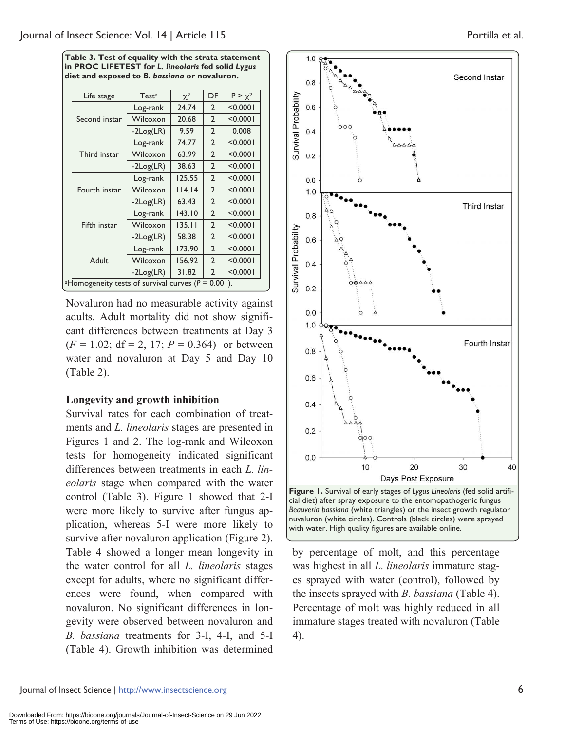**Table 3. Test of equality with the strata statement in PROC LIFETEST for** *L. lineolaris* **fed solid** *Lygus* **diet and exposed to** *B. bassiana* **or novaluron.** 

| Test <sup>a</sup>                                              | $\chi^2$ | DF             | $P > \chi^2$ |
|----------------------------------------------------------------|----------|----------------|--------------|
| Log-rank                                                       | 24.74    | $\overline{2}$ | < 0.0001     |
| Wilcoxon                                                       | 20.68    | $\overline{2}$ | < 0.0001     |
| $-2Log(LR)$                                                    | 9.59     | $\overline{2}$ | 0.008        |
| Log-rank                                                       | 74.77    | $\overline{2}$ | < 0.0001     |
| Wilcoxon                                                       | 63.99    | $\overline{2}$ | < 0.0001     |
| $-2Log(LR)$                                                    | 38.63    | $\overline{2}$ | < 0.0001     |
| Log-rank                                                       | 125.55   | $\overline{2}$ | < 0.0001     |
| Wilcoxon                                                       | 114.14   | $\overline{2}$ | < 0.0001     |
| $-2Log(LR)$                                                    | 63.43    | $\overline{2}$ | < 0.0001     |
| Log-rank                                                       | 143.10   | $\overline{2}$ | < 0.0001     |
| Wilcoxon                                                       | 135.11   | $\overline{2}$ | < 0.0001     |
| $-2Log(LR)$                                                    | 58.38    | $\overline{2}$ | < 0.0001     |
| Log-rank                                                       | 173.90   | $\overline{2}$ | < 0.0001     |
| Wilcoxon                                                       | 156.92   | $\overline{2}$ | < 0.0001     |
| $-2Log(LR)$                                                    | 31.82    | $\overline{2}$ | < 0.0001     |
| <i>a</i> Homogeneity tests of survival curves ( $P = 0.001$ ). |          |                |              |
|                                                                |          |                |              |

Novaluron had no measurable activity against adults. Adult mortality did not show significant differences between treatments at Day 3  $(F = 1.02; df = 2, 17; P = 0.364)$  or between water and novaluron at Day 5 and Day 10 (Table 2).

## **Longevity and growth inhibition**

Survival rates for each combination of treatments and *L. lineolaris* stages are presented in Figures 1 and 2. The log-rank and Wilcoxon tests for homogeneity indicated significant differences between treatments in each *L. lineolaris* stage when compared with the water control (Table 3). Figure 1 showed that 2-I were more likely to survive after fungus application, whereas 5-I were more likely to survive after novaluron application (Figure 2). Table 4 showed a longer mean longevity in the water control for all *L. lineolaris* stages except for adults, where no significant differences were found, when compared with novaluron. No significant differences in longevity were observed between novaluron and *B. bassiana* treatments for 3-I, 4-I, and 5-I (Table 4). Growth inhibition was determined



cial diet) after spray exposure to the entomopathogenic fungus *Beauveria bassiana* (white triangles) or the insect growth regulator nuvaluron (white circles). Controls (black circles) were sprayed with water. High quality figures are available online.

by percentage of molt, and this percentage was highest in all *L. lineolaris* immature stages sprayed with water (control), followed by the insects sprayed with *B. bassiana* (Table 4). Percentage of molt was highly reduced in all immature stages treated with novaluron (Table 4).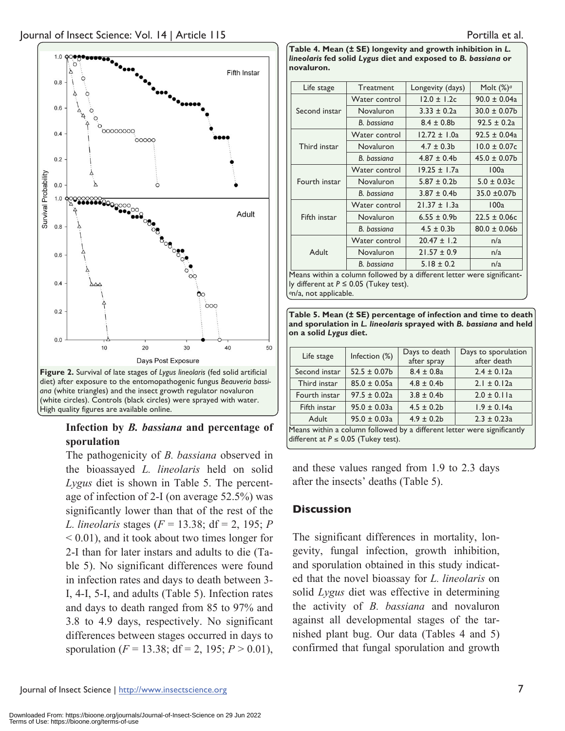

## **Infection by** *B. bassiana* **and percentage of sporulation**

The pathogenicity of *B. bassiana* observed in the bioassayed *L. lineolaris* held on solid *Lygus* diet is shown in Table 5. The percentage of infection of 2-I (on average 52.5%) was significantly lower than that of the rest of the *L. lineolaris* stages (*F* = 13.38; df = 2, 195; *P* < 0.01), and it took about two times longer for 2-I than for later instars and adults to die (Table 5). No significant differences were found in infection rates and days to death between 3- I, 4-I, 5-I, and adults (Table 5). Infection rates and days to death ranged from 85 to 97% and 3.8 to 4.9 days, respectively. No significant differences between stages occurred in days to sporulation ( $F = 13.38$ ; df = 2, 195;  $P > 0.01$ ), **Table 4. Mean (± SE) longevity and growth inhibition in** *L. lineolaris* **fed solid** *Lygus* **diet and exposed to** *B. bassiana* **or novaluron.** 

| Life stage    | <b>Treatment</b>                           | Longevity (days)<br>Molt $(\%)^q$                                      |                   |
|---------------|--------------------------------------------|------------------------------------------------------------------------|-------------------|
|               | Water control                              | $12.0 \pm 1.2c$                                                        | $90.0 \pm 0.04a$  |
| Second instar | Novaluron                                  | $3.33 \pm 0.2a$                                                        | $30.0 \pm 0.07$ b |
|               | B. bassiana                                | $8.4 \pm 0.8$ b                                                        | $92.5 \pm 0.2a$   |
| Third instar  | Water control                              | $12.72 \pm 1.0a$                                                       | $92.5 \pm 0.04a$  |
|               | Novaluron                                  | $4.7 \pm 0.3$ b                                                        | $10.0 \pm 0.07c$  |
|               | B. bassiana                                | $4.87 \pm 0.4b$                                                        | $45.0 \pm 0.07$ b |
| Fourth instar | Water control                              | $19.25 \pm 1.7a$                                                       | 100a              |
|               | Novaluron                                  | $5.87 \pm 0.2b$                                                        | $5.0 \pm 0.03c$   |
|               | B. bassiana                                | $3.87 \pm 0.4b$                                                        | 35.0 ±0.07b       |
|               | Water control                              | $21.37 \pm 1.3a$                                                       | 100a              |
| Fifth instar  | Novaluron                                  | $6.55 \pm 0.9b$                                                        | $22.5 \pm 0.06c$  |
|               | B. bassiana                                | $4.5 \pm 0.3$ b                                                        | $80.0 \pm 0.06$   |
| Adult         | Water control                              | $20.47 \pm 1.2$                                                        | n/a               |
|               | Novaluron                                  | $21.57 \pm 0.9$                                                        | n/a               |
|               | <b>B.</b> bassiana                         | $5.18 \pm 0.2$                                                         | n/a               |
|               | ly different at $P \le 0.05$ (Tukey test). | Means within a column followed by a different letter were significant- |                   |

*<sup>a</sup>*n/a, not applicable.

**Table 5. Mean (± SE) percentage of infection and time to death and sporulation in** *L. lineolaris* **sprayed with** *B. bassiana* **and held on a solid** *Lygus* **diet.** 

| Life stage                                                                                                         | Infection (%)     | Days to death<br>after spray | Days to sporulation<br>after death |
|--------------------------------------------------------------------------------------------------------------------|-------------------|------------------------------|------------------------------------|
| Second instar                                                                                                      | $52.5 \pm 0.07$ b | $8.4 \pm 0.8a$               | $2.4 \pm 0.12a$                    |
| Third instar                                                                                                       | $85.0 \pm 0.05a$  | $4.8 \pm 0.4$                | $2.1 \pm 0.12a$                    |
| Fourth instar                                                                                                      | $97.5 \pm 0.02a$  | $3.8 \pm 0.4$ b              | $2.0 \pm 0.11a$                    |
| Fifth instar                                                                                                       | $95.0 \pm 0.03a$  | $4.5 \pm 0.2b$               | $1.9 \pm 0.14a$                    |
| Adult                                                                                                              | $95.0 \pm 0.03a$  | $4.9 \pm 0.2b$               | $2.3 \pm 0.23a$                    |
| Means within a column followed by a different letter were significantly<br>different at $P \le 0.05$ (Tukey test). |                   |                              |                                    |

and these values ranged from 1.9 to 2.3 days after the insects' deaths (Table 5).

## **Discussion**

The significant differences in mortality, longevity, fungal infection, growth inhibition, and sporulation obtained in this study indicated that the novel bioassay for *L. lineolaris* on solid *Lygus* diet was effective in determining the activity of *B. bassiana* and novaluron against all developmental stages of the tarnished plant bug. Our data (Tables 4 and 5) confirmed that fungal sporulation and growth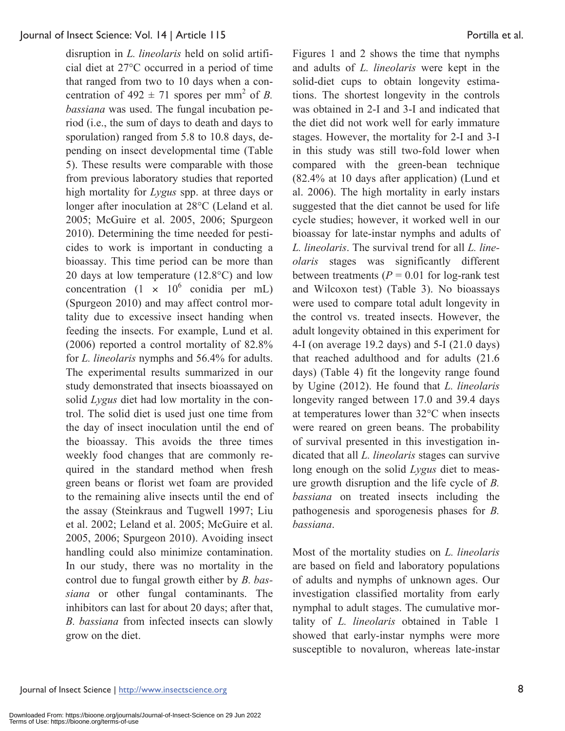disruption in *L. lineolaris* held on solid artificial diet at 27°C occurred in a period of time that ranged from two to 10 days when a concentration of  $492 \pm 71$  spores per mm<sup>2</sup> of *B*. *bassiana* was used. The fungal incubation period (i.e., the sum of days to death and days to sporulation) ranged from 5.8 to 10.8 days, depending on insect developmental time (Table 5). These results were comparable with those from previous laboratory studies that reported high mortality for *Lygus* spp. at three days or longer after inoculation at 28°C (Leland et al. 2005; McGuire et al. 2005, 2006; Spurgeon 2010). Determining the time needed for pesticides to work is important in conducting a bioassay. This time period can be more than 20 days at low temperature (12.8°C) and low concentration  $(1 \times 10^6 \text{ conidia per mL})$ (Spurgeon 2010) and may affect control mortality due to excessive insect handing when feeding the insects. For example, Lund et al. (2006) reported a control mortality of 82.8% for *L. lineolaris* nymphs and 56.4% for adults. The experimental results summarized in our study demonstrated that insects bioassayed on solid *Lygus* diet had low mortality in the control. The solid diet is used just one time from the day of insect inoculation until the end of the bioassay. This avoids the three times weekly food changes that are commonly required in the standard method when fresh green beans or florist wet foam are provided to the remaining alive insects until the end of the assay (Steinkraus and Tugwell 1997; Liu et al. 2002; Leland et al. 2005; McGuire et al. 2005, 2006; Spurgeon 2010). Avoiding insect handling could also minimize contamination. In our study, there was no mortality in the control due to fungal growth either by *B. bassiana* or other fungal contaminants. The inhibitors can last for about 20 days; after that, *B. bassiana* from infected insects can slowly grow on the diet.

Figures 1 and 2 shows the time that nymphs and adults of *L. lineolaris* were kept in the solid-diet cups to obtain longevity estimations. The shortest longevity in the controls was obtained in 2-I and 3-I and indicated that the diet did not work well for early immature stages. However, the mortality for 2-I and 3-I in this study was still two-fold lower when compared with the green-bean technique (82.4% at 10 days after application) (Lund et al. 2006). The high mortality in early instars suggested that the diet cannot be used for life cycle studies; however, it worked well in our bioassay for late-instar nymphs and adults of *L. lineolaris*. The survival trend for all *L. lineolaris* stages was significantly different between treatments  $(P = 0.01$  for log-rank test and Wilcoxon test) (Table 3). No bioassays were used to compare total adult longevity in the control vs. treated insects. However, the adult longevity obtained in this experiment for 4-I (on average 19.2 days) and 5-I (21.0 days) that reached adulthood and for adults (21.6 days) (Table 4) fit the longevity range found by Ugine (2012). He found that *L. lineolaris* longevity ranged between 17.0 and 39.4 days at temperatures lower than 32°C when insects were reared on green beans. The probability of survival presented in this investigation indicated that all *L. lineolaris* stages can survive long enough on the solid *Lygus* diet to measure growth disruption and the life cycle of *B. bassiana* on treated insects including the pathogenesis and sporogenesis phases for *B. bassiana*.

Most of the mortality studies on *L. lineolaris* are based on field and laboratory populations of adults and nymphs of unknown ages. Our investigation classified mortality from early nymphal to adult stages. The cumulative mortality of *L. lineolaris* obtained in Table 1 showed that early-instar nymphs were more susceptible to novaluron, whereas late-instar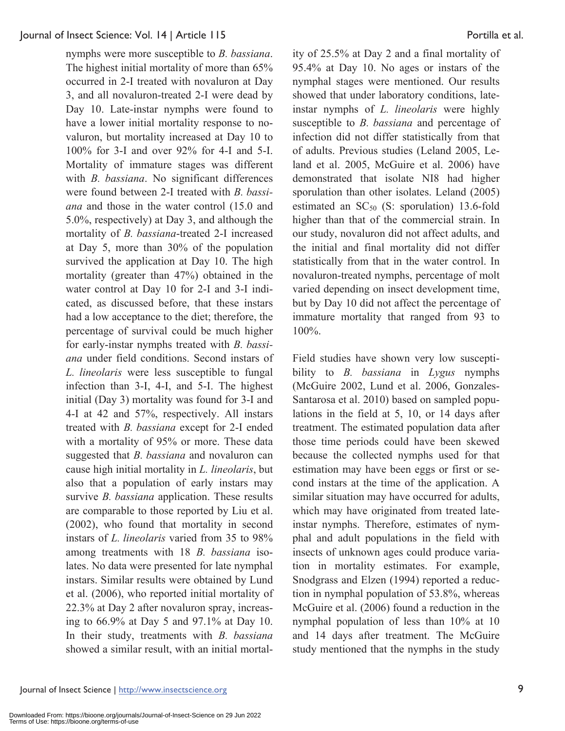nymphs were more susceptible to *B. bassiana*. The highest initial mortality of more than 65% occurred in 2-I treated with novaluron at Day 3, and all novaluron-treated 2-I were dead by Day 10. Late-instar nymphs were found to have a lower initial mortality response to novaluron, but mortality increased at Day 10 to 100% for 3-I and over 92% for 4-I and 5-I. Mortality of immature stages was different with *B. bassiana*. No significant differences were found between 2-I treated with *B. bassiana* and those in the water control (15.0 and 5.0%, respectively) at Day 3, and although the mortality of *B. bassiana*-treated 2-I increased at Day 5, more than 30% of the population survived the application at Day 10. The high mortality (greater than 47%) obtained in the water control at Day 10 for 2-I and 3-I indicated, as discussed before, that these instars had a low acceptance to the diet; therefore, the percentage of survival could be much higher for early-instar nymphs treated with *B. bassiana* under field conditions. Second instars of *L. lineolaris* were less susceptible to fungal infection than 3-I, 4-I, and 5-I. The highest initial (Day 3) mortality was found for 3-I and 4-I at 42 and 57%, respectively. All instars treated with *B. bassiana* except for 2-I ended with a mortality of 95% or more. These data suggested that *B. bassiana* and novaluron can cause high initial mortality in *L. lineolaris*, but also that a population of early instars may survive *B. bassiana* application. These results are comparable to those reported by Liu et al. (2002), who found that mortality in second instars of *L. lineolaris* varied from 35 to 98% among treatments with 18 *B. bassiana* isolates. No data were presented for late nymphal instars. Similar results were obtained by Lund et al. (2006), who reported initial mortality of 22.3% at Day 2 after novaluron spray, increasing to 66.9% at Day 5 and 97.1% at Day 10. In their study, treatments with *B. bassiana* showed a similar result, with an initial mortality of 25.5% at Day 2 and a final mortality of 95.4% at Day 10. No ages or instars of the nymphal stages were mentioned. Our results showed that under laboratory conditions, lateinstar nymphs of *L. lineolaris* were highly susceptible to *B. bassiana* and percentage of infection did not differ statistically from that of adults. Previous studies (Leland 2005, Leland et al. 2005, McGuire et al. 2006) have demonstrated that isolate NI8 had higher sporulation than other isolates. Leland (2005) estimated an  $SC_{50}$  (S: sporulation) 13.6-fold higher than that of the commercial strain. In our study, novaluron did not affect adults, and the initial and final mortality did not differ statistically from that in the water control. In novaluron-treated nymphs, percentage of molt varied depending on insect development time, but by Day 10 did not affect the percentage of immature mortality that ranged from 93 to 100%.

Field studies have shown very low susceptibility to *B. bassiana* in *Lygus* nymphs (McGuire 2002, Lund et al. 2006, Gonzales-Santarosa et al. 2010) based on sampled populations in the field at 5, 10, or 14 days after treatment. The estimated population data after those time periods could have been skewed because the collected nymphs used for that estimation may have been eggs or first or second instars at the time of the application. A similar situation may have occurred for adults, which may have originated from treated lateinstar nymphs. Therefore, estimates of nymphal and adult populations in the field with insects of unknown ages could produce variation in mortality estimates. For example, Snodgrass and Elzen (1994) reported a reduction in nymphal population of 53.8%, whereas McGuire et al. (2006) found a reduction in the nymphal population of less than 10% at 10 and 14 days after treatment. The McGuire study mentioned that the nymphs in the study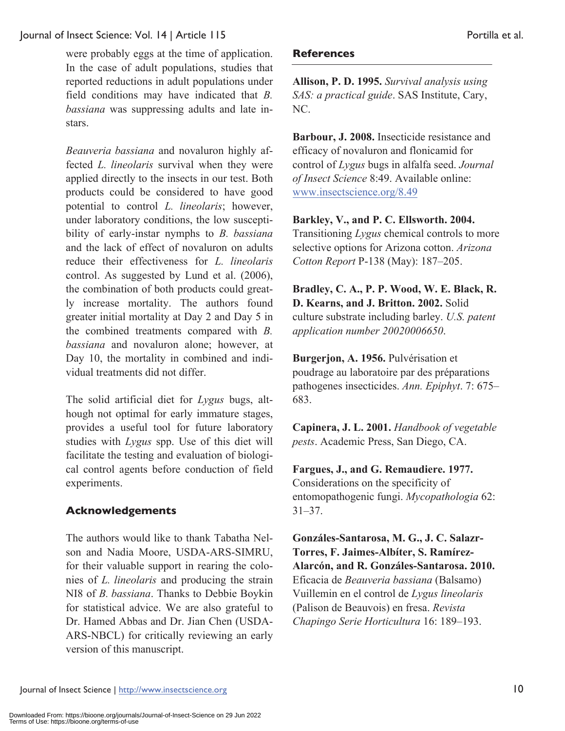were probably eggs at the time of application. In the case of adult populations, studies that reported reductions in adult populations under field conditions may have indicated that *B. bassiana* was suppressing adults and late instars.

*Beauveria bassiana* and novaluron highly affected *L. lineolaris* survival when they were applied directly to the insects in our test. Both products could be considered to have good potential to control *L. lineolaris*; however, under laboratory conditions, the low susceptibility of early-instar nymphs to *B. bassiana* and the lack of effect of novaluron on adults reduce their effectiveness for *L. lineolaris* control. As suggested by Lund et al. (2006), the combination of both products could greatly increase mortality. The authors found greater initial mortality at Day 2 and Day 5 in the combined treatments compared with *B. bassiana* and novaluron alone; however, at Day 10, the mortality in combined and individual treatments did not differ.

The solid artificial diet for *Lygus* bugs, although not optimal for early immature stages, provides a useful tool for future laboratory studies with *Lygus* spp. Use of this diet will facilitate the testing and evaluation of biological control agents before conduction of field experiments.

## **Acknowledgements**

The authors would like to thank Tabatha Nelson and Nadia Moore, USDA-ARS-SIMRU, for their valuable support in rearing the colonies of *L. lineolaris* and producing the strain NI8 of *B. bassiana*. Thanks to Debbie Boykin for statistical advice. We are also grateful to Dr. Hamed Abbas and Dr. Jian Chen (USDA-ARS-NBCL) for critically reviewing an early version of this manuscript.

## **References**

**Allison, P. D. 1995.** *Survival analysis using SAS: a practical guide*. SAS Institute, Cary, NC.

**Barbour, J. 2008.** Insecticide resistance and efficacy of novaluron and flonicamid for control of *Lygus* bugs in alfalfa seed. *Journal of Insect Science* 8:49. Available online: www.insectscience.org/8.49

**Barkley, V., and P. C. Ellsworth. 2004.** Transitioning *Lygus* chemical controls to more selective options for Arizona cotton. *Arizona Cotton Report* P-138 (May): 187–205.

**Bradley, C. A., P. P. Wood, W. E. Black, R. D. Kearns, and J. Britton. 2002.** Solid culture substrate including barley. *U.S. patent application number 20020006650*.

**Burgerjon, A. 1956.** Pulvérisation et poudrage au laboratoire par des préparations pathogenes insecticides. *Ann. Epiphyt*. 7: 675– 683.

**Capinera, J. L. 2001.** *Handbook of vegetable pests*. Academic Press, San Diego, CA.

**Fargues, J., and G. Remaudiere. 1977.** Considerations on the specificity of entomopathogenic fungi. *Mycopathologia* 62: 31–37.

**Gonzáles-Santarosa, M. G., J. C. Salazr-Torres, F. Jaimes-Albíter, S. Ramírez-Alarcón, and R. Gonzáles-Santarosa. 2010.** Eficacia de *Beauveria bassiana* (Balsamo) Vuillemin en el control de *Lygus lineolaris* (Palison de Beauvois) en fresa. *Revista Chapingo Serie Horticultura* 16: 189–193.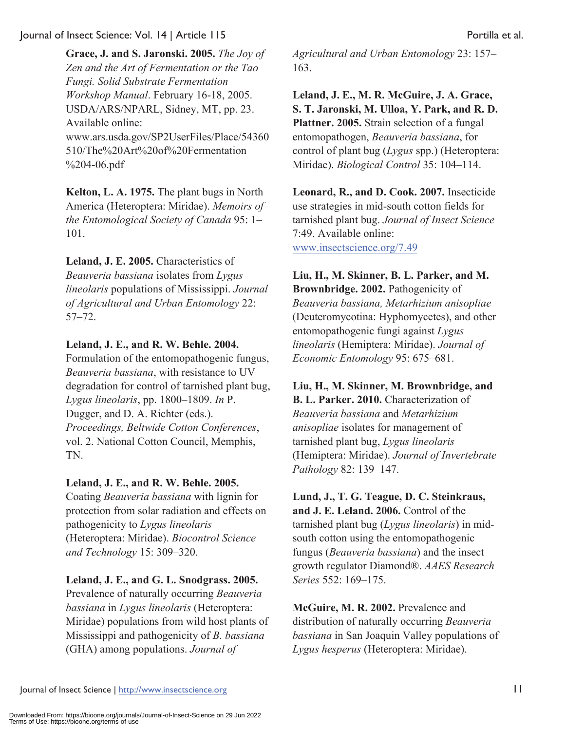**Grace, J. and S. Jaronski. 2005.** *The Joy of Zen and the Art of Fermentation or the Tao Fungi. Solid Substrate Fermentation Workshop Manual*. February 16-18, 2005. USDA/ARS/NPARL, Sidney, MT, pp. 23. Available online: www.ars.usda.gov/SP2UserFiles/Place/54360 510/The%20Art%20of%20Fermentation %204-06.pdf

**Kelton, L. A. 1975.** The plant bugs in North America (Heteroptera: Miridae). *Memoirs of the Entomological Society of Canada* 95: 1– 101.

**Leland, J. E. 2005.** Characteristics of *Beauveria bassiana* isolates from *Lygus lineolaris* populations of Mississippi. *Journal of Agricultural and Urban Entomology* 22: 57–72.

## **Leland, J. E., and R. W. Behle. 2004.**

Formulation of the entomopathogenic fungus, *Beauveria bassiana*, with resistance to UV degradation for control of tarnished plant bug, *Lygus lineolaris*, pp. 1800–1809. *In* P. Dugger, and D. A. Richter (eds.). *Proceedings, Beltwide Cotton Conferences*, vol. 2. National Cotton Council, Memphis, TN.

## **Leland, J. E., and R. W. Behle. 2005.**

Coating *Beauveria bassiana* with lignin for protection from solar radiation and effects on pathogenicity to *Lygus lineolaris* (Heteroptera: Miridae). *Biocontrol Science and Technology* 15: 309–320.

## **Leland, J. E., and G. L. Snodgrass. 2005.**

Prevalence of naturally occurring *Beauveria bassiana* in *Lygus lineolaris* (Heteroptera: Miridae) populations from wild host plants of Mississippi and pathogenicity of *B. bassiana* (GHA) among populations. *Journal of* 

*Agricultural and Urban Entomology* 23: 157– 163.

**Leland, J. E., M. R. McGuire, J. A. Grace, S. T. Jaronski, M. Ulloa, Y. Park, and R. D. Plattner. 2005.** Strain selection of a fungal entomopathogen, *Beauveria bassiana*, for control of plant bug (*Lygus* spp.) (Heteroptera: Miridae). *Biological Control* 35: 104–114.

**Leonard, R., and D. Cook. 2007.** Insecticide use strategies in mid-south cotton fields for tarnished plant bug. *Journal of Insect Science* 7:49. Available online: www.insectscience.org/7.49

**Liu, H., M. Skinner, B. L. Parker, and M. Brownbridge. 2002.** Pathogenicity of *Beauveria bassiana, Metarhizium anisopliae* (Deuteromycotina: Hyphomycetes), and other entomopathogenic fungi against *Lygus lineolaris* (Hemiptera: Miridae). *Journal of Economic Entomology* 95: 675–681.

**Liu, H., M. Skinner, M. Brownbridge, and B. L. Parker. 2010.** Characterization of *Beauveria bassiana* and *Metarhizium anisopliae* isolates for management of tarnished plant bug, *Lygus lineolaris* (Hemiptera: Miridae). *Journal of Invertebrate Pathology* 82: 139–147.

**Lund, J., T. G. Teague, D. C. Steinkraus, and J. E. Leland. 2006.** Control of the tarnished plant bug (*Lygus lineolaris*) in midsouth cotton using the entomopathogenic fungus (*Beauveria bassiana*) and the insect growth regulator Diamond®. *AAES Research Series* 552: 169–175.

**McGuire, M. R. 2002.** Prevalence and distribution of naturally occurring *Beauveria bassiana* in San Joaquin Valley populations of *Lygus hesperus* (Heteroptera: Miridae).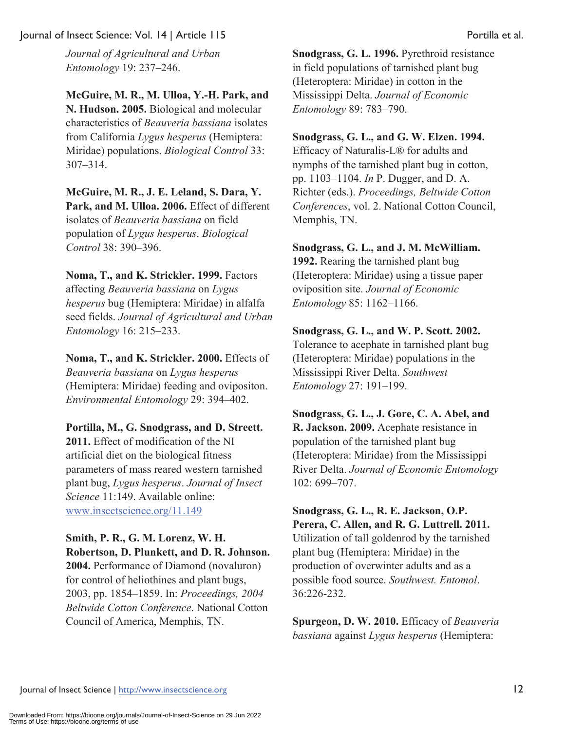*Journal of Agricultural and Urban Entomology* 19: 237–246.

**McGuire, M. R., M. Ulloa, Y.-H. Park, and N. Hudson. 2005.** Biological and molecular characteristics of *Beauveria bassiana* isolates from California *Lygus hesperus* (Hemiptera: Miridae) populations. *Biological Control* 33: 307–314.

**McGuire, M. R., J. E. Leland, S. Dara, Y. Park, and M. Ulloa. 2006.** Effect of different isolates of *Beauveria bassiana* on field population of *Lygus hesperus*. *Biological Control* 38: 390–396.

**Noma, T., and K. Strickler. 1999.** Factors affecting *Beauveria bassiana* on *Lygus hesperus* bug (Hemiptera: Miridae) in alfalfa seed fields. *Journal of Agricultural and Urban Entomology* 16: 215–233.

**Noma, T., and K. Strickler. 2000.** Effects of *Beauveria bassiana* on *Lygus hesperus* (Hemiptera: Miridae) feeding and ovipositon. *Environmental Entomology* 29: 394–402.

**Portilla, M., G. Snodgrass, and D. Streett. 2011.** Effect of modification of the NI artificial diet on the biological fitness parameters of mass reared western tarnished plant bug, *Lygus hesperus*. *Journal of Insect Science* 11:149. Available online: www.insectscience.org/11.149

## **Smith, P. R., G. M. Lorenz, W. H. Robertson, D. Plunkett, and D. R. Johnson.**

**2004.** Performance of Diamond (novaluron) for control of heliothines and plant bugs, 2003, pp. 1854–1859. In: *Proceedings, 2004 Beltwide Cotton Conference*. National Cotton Council of America, Memphis, TN.

**Snodgrass, G. L. 1996.** Pyrethroid resistance in field populations of tarnished plant bug (Heteroptera: Miridae) in cotton in the Mississippi Delta. *Journal of Economic Entomology* 89: 783–790.

## **Snodgrass, G. L., and G. W. Elzen. 1994.**

Efficacy of Naturalis-L® for adults and nymphs of the tarnished plant bug in cotton, pp. 1103–1104. *In* P. Dugger, and D. A. Richter (eds.). *Proceedings, Beltwide Cotton Conferences*, vol. 2. National Cotton Council, Memphis, TN.

#### **Snodgrass, G. L., and J. M. McWilliam.**

**1992.** Rearing the tarnished plant bug (Heteroptera: Miridae) using a tissue paper oviposition site. *Journal of Economic Entomology* 85: 1162–1166.

#### **Snodgrass, G. L., and W. P. Scott. 2002.**

Tolerance to acephate in tarnished plant bug (Heteroptera: Miridae) populations in the Mississippi River Delta. *Southwest Entomology* 27: 191–199.

**Snodgrass, G. L., J. Gore, C. A. Abel, and R. Jackson. 2009.** Acephate resistance in population of the tarnished plant bug (Heteroptera: Miridae) from the Mississippi River Delta. *Journal of Economic Entomology* 102: 699–707.

**Snodgrass, G. L., R. E. Jackson, O.P. Perera, C. Allen, and R. G. Luttrell. 2011.** Utilization of tall goldenrod by the tarnished plant bug (Hemiptera: Miridae) in the production of overwinter adults and as a possible food source. *Southwest. Entomol*. 36:226-232.

**Spurgeon, D. W. 2010.** Efficacy of *Beauveria bassiana* against *Lygus hesperus* (Hemiptera: